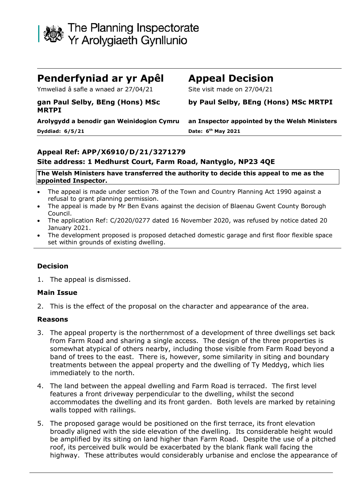

# **Penderfyniad ar yr Apêl Appeal Decision**

Ymweliad â safle a wnaed ar 27/04/21 Site visit made on 27/04/21

### **gan Paul Selby, BEng (Hons) MSc MRTPI**

**Dyddiad: 6/5/21 Date: 6**

# **by Paul Selby, BEng (Hons) MSc MRTPI**

**Arolygydd a benodir gan Weinidogion Cymru an Inspector appointed by the Welsh Ministers th May 2021**

#### **Appeal Ref: APP/X6910/D/21/3271279 Site address: 1 Medhurst Court, Farm Road, Nantyglo, NP23 4QE**

#### **The Welsh Ministers have transferred the authority to decide this appeal to me as the appointed Inspector.**

- The appeal is made under section 78 of the Town and Country Planning Act 1990 against a refusal to grant planning permission.
- The appeal is made by Mr Ben Evans against the decision of Blaenau Gwent County Borough Council.
- The application Ref: C/2020/0277 dated 16 November 2020, was refused by notice dated 20 January 2021.
- The development proposed is proposed detached domestic garage and first floor flexible space set within grounds of existing dwelling.

## **Decision**

1. The appeal is dismissed.

### **Main Issue**

2. This is the effect of the proposal on the character and appearance of the area.

### **Reasons**

- 3. The appeal property is the northernmost of a development of three dwellings set back from Farm Road and sharing a single access. The design of the three properties is somewhat atypical of others nearby, including those visible from Farm Road beyond a band of trees to the east. There is, however, some similarity in siting and boundary treatments between the appeal property and the dwelling of Ty Meddyg, which lies immediately to the north.
- 4. The land between the appeal dwelling and Farm Road is terraced. The first level features a front driveway perpendicular to the dwelling, whilst the second accommodates the dwelling and its front garden. Both levels are marked by retaining walls topped with railings.
- 5. The proposed garage would be positioned on the first terrace, its front elevation broadly aligned with the side elevation of the dwelling. Its considerable height would be amplified by its siting on land higher than Farm Road. Despite the use of a pitched roof, its perceived bulk would be exacerbated by the blank flank wall facing the highway. These attributes would considerably urbanise and enclose the appearance of